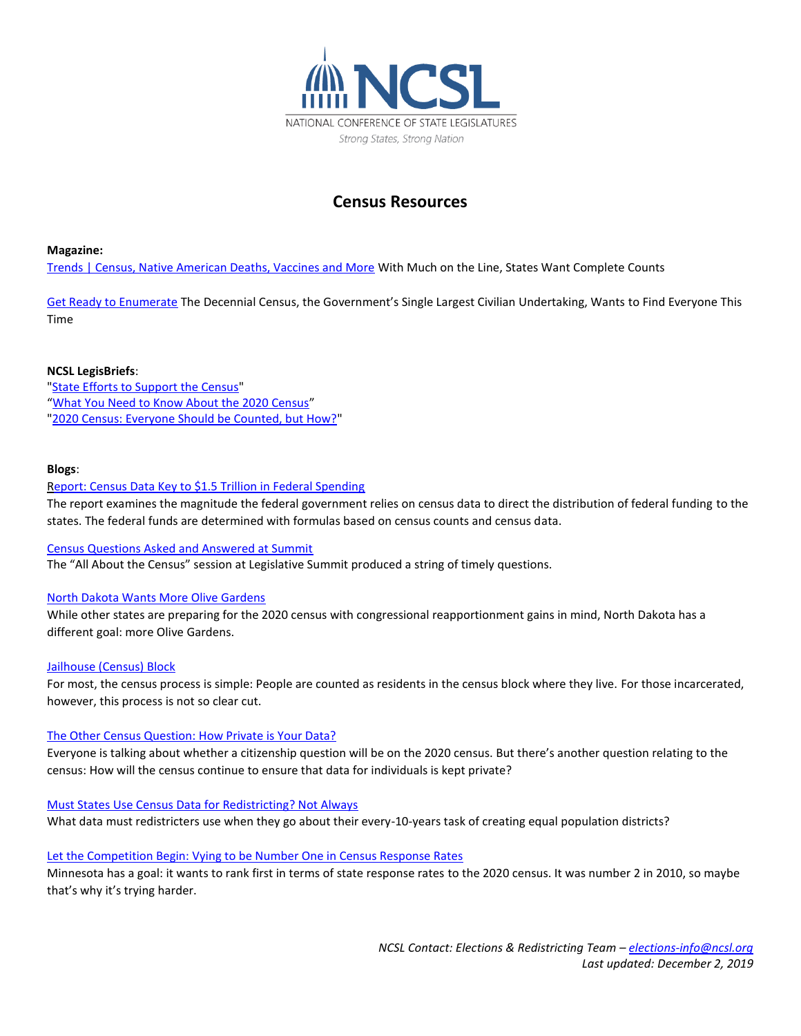

# **Census Resources**

### **Magazine:**

[Trends | Census, Native American Deaths, Vaccines and More](http://www.ncsl.org/bookstore/state-legislatures-magazine/trends-census-native-american-deaths-vaccines-and-more.aspx) With Much on the Line, States Want Complete Counts

[Get Ready to Enumerate](http://www.ncsl.org/research/elections-and-campaigns/get-ready-to-enumerate.aspx) The Decennial Census, the Government's Single Largest Civilian Undertaking, Wants to Find Everyone This Time

# **NCSL LegisBriefs**:

["State Efforts to Support the Census"](http://www.ncsl.org/research/redistricting/state-efforts-to-support-the-census.aspx) "[What You Need to Know About the 2020 Census](http://www.ncsl.org/research/redistricting/what-you-need-to-know-about-the-2020-census.aspx)" ["2020 Census: Everyone Should be Counted, but How?"](http://www.ncsl.org/research/elections-and-campaigns/2020-census-everyone-should-be-counted-but-how.aspx)

# **Blogs**:

### [Report: Census Data Key to \\$1.5 Trillion in Federal Spending](http://www.ncsl.org/blog/2019/11/22/report-census-data-key-to-15-trillion-in-federal-spending.aspx)

The report examines the magnitude the federal government relies on census data to direct the distribution of federal funding to the states. The federal funds are determined with formulas based on census counts and census data.

### [Census Questions Asked and Answered at Summit](http://www.ncsl.org/blog/2019/08/16/census-questions-asked-and-answered-at-summit.aspx)

The "All About the Census" session at Legislative Summit produced a string of timely questions.

# [North Dakota Wants More Olive Gardens](http://www.ncsl.org/blog/2019/07/29/north-dakota-wants-more-olive-gardens.aspx)

While other states are preparing for the 2020 census with congressional reapportionment gains in mind, North Dakota has a different goal: more Olive Gardens.

### [Jailhouse \(Census\) Block](http://www.ncsl.org/blog/2019/07/11/jailhouse-census-block.aspx)

For most, the census process is simple: People are counted as residents in the census block where they live. For those incarcerated, however, this process is not so clear cut.

### [The Other Census Question: How Private is Your Data?](http://www.ncsl.org/blog/2019/06/25/the-other-census-question-how-private-is-your-data.aspx)

Everyone is talking about whether a citizenship question will be on the 2020 census. But there's another question relating to the census: How will the census continue to ensure that data for individuals is kept private?

### [Must States Use Census Data for Redistricting? Not Always](http://www.ncsl.org/blog/2019/06/20/must-states-use-census-data-for-redistricting-not-always.aspx)

What data must redistricters use when they go about their every-10-years task of creating equal population districts?

# [Let the Competition Begin: Vying to be Number One in Census Response Rates](http://www.ncsl.org/blog/2019/06/10/let-the-competition-begin-vying-to-be-number-one-in-census-response-rates.aspx)

Minnesota has a goal: it wants to rank first in terms of state response rates to the 2020 census. It was number 2 in 2010, so maybe that's why it's trying harder.